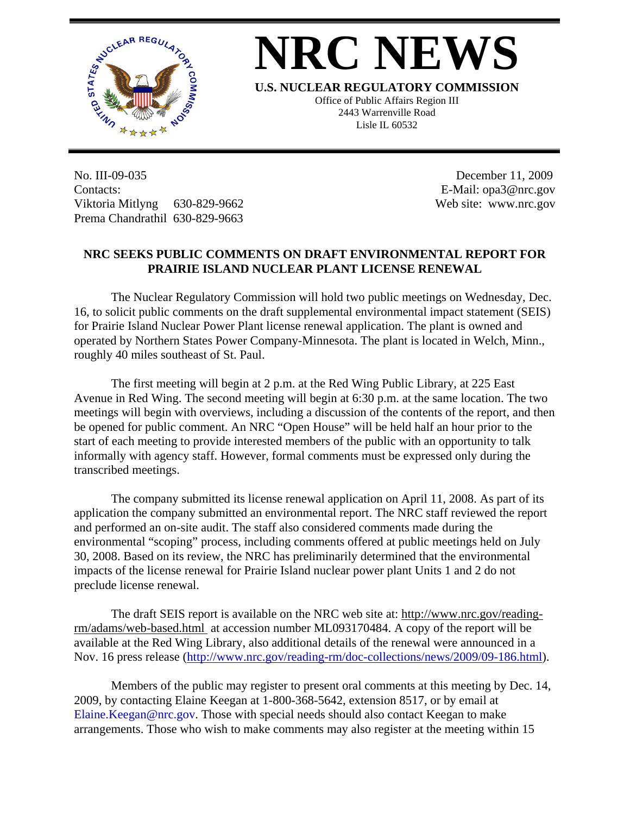

## **NRC NEWS**

**U.S. NUCLEAR REGULATORY COMMISSION**

Office of Public Affairs Region III 2443 Warrenville Road Lisle IL 60532

No. III-09-035 Contacts: Viktoria Mitlyng 630-829-9662 Prema Chandrathil 630-829-9663

 December 11, 2009 E-Mail: opa3@nrc.gov Web site: www.nrc.gov

## **NRC SEEKS PUBLIC COMMENTS ON DRAFT ENVIRONMENTAL REPORT FOR PRAIRIE ISLAND NUCLEAR PLANT LICENSE RENEWAL**

 The Nuclear Regulatory Commission will hold two public meetings on Wednesday, Dec. 16, to solicit public comments on the draft supplemental environmental impact statement (SEIS) for Prairie Island Nuclear Power Plant license renewal application. The plant is owned and operated by Northern States Power Company-Minnesota. The plant is located in Welch, Minn., roughly 40 miles southeast of St. Paul.

The first meeting will begin at 2 p.m. at the Red Wing Public Library, at 225 East Avenue in Red Wing. The second meeting will begin at 6:30 p.m. at the same location. The two meetings will begin with overviews, including a discussion of the contents of the report, and then be opened for public comment. An NRC "Open House" will be held half an hour prior to the start of each meeting to provide interested members of the public with an opportunity to talk informally with agency staff. However, formal comments must be expressed only during the transcribed meetings.

The company submitted its license renewal application on April 11, 2008. As part of its application the company submitted an environmental report. The NRC staff reviewed the report and performed an on-site audit. The staff also considered comments made during the environmental "scoping" process, including comments offered at public meetings held on July 30, 2008. Based on its review, the NRC has preliminarily determined that the environmental impacts of the license renewal for Prairie Island nuclear power plant Units 1 and 2 do not preclude license renewal.

The draft SEIS report is available on the NRC web site at: [http://www.nrc.gov/reading](http://www.nrc.gov/reading-rm/adams/web-based.html)[rm/adams/web-based.html](http://www.nrc.gov/reading-rm/adams/web-based.html) at accession number ML093170484. A copy of the report will be available at the Red Wing Library, also additional details of the renewal were announced in a Nov. 16 press release (<http://www.nrc.gov/reading-rm/doc-collections/news/2009/09-186.html>).

Members of the public may register to present oral comments at this meeting by Dec. 14, 2009, by contacting Elaine Keegan at 1-800-368-5642, extension 8517, or by email at [Elaine.Keegan@nrc.gov.](mailto:Elaine.Keegan@nrc.gov) Those with special needs should also contact Keegan to make arrangements. Those who wish to make comments may also register at the meeting within 15